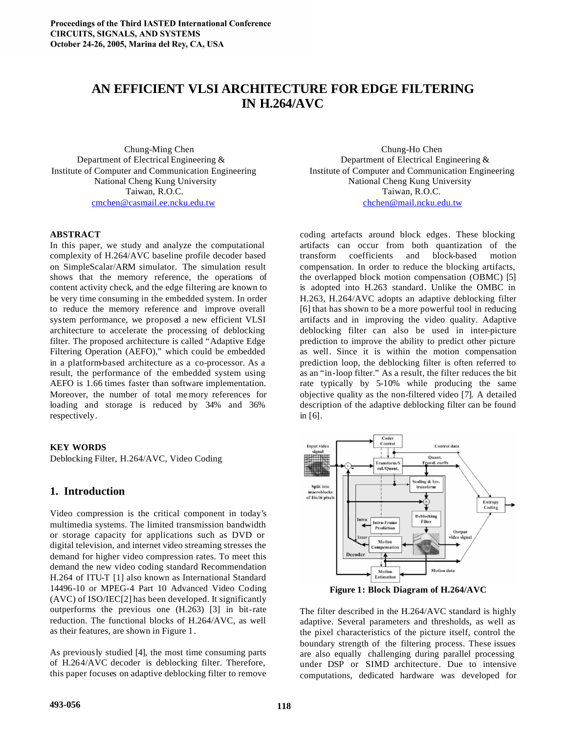# **AN EFFICIENT VLSI ARCHITECTURE FOR EDGE FILTERING IN H.264/AVC**

cmchen@casmail.ee.ncku.edu.tw chchen@mail.ncku.edu.tw

#### **ABSTRACT**

In this paper, we study and analyze the computational complexity of H.264/AVC baseline profile decoder based on SimpleScalar/ARM simulator. The simulation result shows that the memory reference, the operations of content activity check, and the edge filtering are known to be very time consuming in the embedded system. In order to reduce the memory reference and improve overall system performance, we proposed a new efficient VLSI architecture to accelerate the processing of deblocking filter. The proposed architecture is called "Adaptive Edge Filtering Operation (AEFO)," which could be embedded in a platform-based architecture as a co-processor. As a result, the performance of the embedded system using AEFO is 1.66 times faster than software implementation. Moreover, the number of total me mory references for loading and storage is reduced by 34% and 36% respectively.

#### **KEY WORDS**

Deblocking Filter, H.264/AVC, Video Coding

### **1. Introduction**

Video compression is the critical component in today's multimedia systems. The limited transmission bandwidth or storage capacity for applications such as DVD or digital television, and internet video streaming stresses the demand for higher video compression rates. To meet this demand the new video coding standard Recommendation H.264 of ITU-T [1] also known as International Standard 14496-10 or MPEG-4 Part 10 Advanced Video Coding (AVC) of ISO/IEC[2] has been developed. It significantly outperforms the previous one (H.263) [3] in bit-rate reduction. The functional blocks of H.264/AVC, as well as their features, are shown in Figure 1.

As previously studied [4], the most time consuming parts of H.264/AVC decoder is deblocking filter. Therefore, this paper focuses on adaptive deblocking filter to remove

Chung-Ming Chen Chung-Ho Chen Department of Electrical Engineering & Department of Electrical Engineering & Institute of Computer and Communication Engineering Institute of Computer and Communication Engineering National Cheng Kung University National Cheng Kung University Taiwan, R.O.C. Taiwan, R.O.C.

> coding artefacts around block edges. These blocking artifacts can occur from both quantization of the transform coefficients and block-based motion compensation. In order to reduce the blocking artifacts, the overlapped block motion compensation (OBMC) [5] is adopted into H.263 standard. Unlike the OMBC in H.263, H.264/AVC adopts an adaptive deblocking filter [6] that has shown to be a more powerful tool in reducing artifacts and in improving the video quality. Adaptive deblocking filter can also be used in inter-picture prediction to improve the ability to predict other picture as well. Since it is within the motion compensation prediction loop, the deblocking filter is often referred to as an "in-loop filter." As a result, the filter reduces the bit rate typically by 5-10% while producing the same objective quality as the non-filtered video [7]. A detailed description of the adaptive deblocking filter can be found in [6].



**Figure 1: Block Diagram of H.264/AVC**

The filter described in the H.264/AVC standard is highly adaptive. Several parameters and thresholds, as well as the pixel characteristics of the picture itself, control the boundary strength of the filtering process. These issues are also equally challenging during parallel processing under DSP or SIMD architecture. Due to intensive computations, dedicated hardware was developed for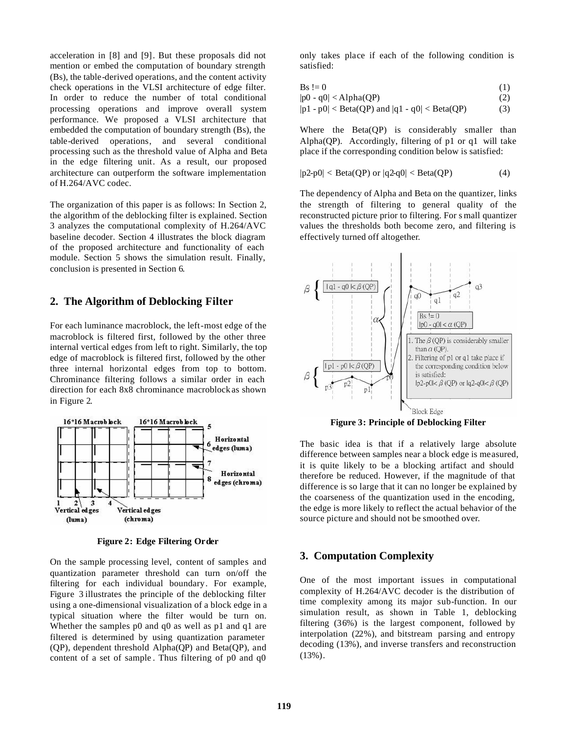acceleration in [8] and [9]. But these proposals did not mention or embed the computation of boundary strength (Bs), the table-derived operations, and the content activity check operations in the VLSI architecture of edge filter. In order to reduce the number of total conditional processing operations and improve overall system performance. We proposed a VLSI architecture that embedded the computation of boundary strength (Bs), the table-derived operations, and several conditional processing such as the threshold value of Alpha and Beta in the edge filtering unit. As a result, our proposed architecture can outperform the software implementation of H.264/AVC codec.

The organization of this paper is as follows: In Section 2, the algorithm of the deblocking filter is explained. Section 3 analyzes the computational complexity of H.264/AVC baseline decoder. Section 4 illustrates the block diagram of the proposed architecture and functionality of each module. Section 5 shows the simulation result. Finally, conclusion is presented in Section 6.

### **2. The Algorithm of Deblocking Filter**

For each luminance macroblock, the left-most edge of the macroblock is filtered first, followed by the other three internal vertical edges from left to right. Similarly, the top edge of macroblock is filtered first, followed by the other three internal horizontal edges from top to bottom. Chrominance filtering follows a similar order in each direction for each 8x8 chrominance macroblock as shown in Figure 2.



**Figure 2: Edge Filtering Order**

On the sample processing level, content of samples and quantization parameter threshold can turn on/off the filtering for each individual boundary. For example, Figure 3 illustrates the principle of the deblocking filter using a one-dimensional visualization of a block edge in a typical situation where the filter would be turn on. Whether the samples p0 and q0 as well as p1 and q1 are filtered is determined by using quantization parameter (QP), dependent threshold Alpha(QP) and Beta(QP), and content of a set of sample. Thus filtering of p0 and q0

only takes place if each of the following condition is satisfied:

$$
Bs := 0 \tag{1}
$$

$$
|p0 - q0| < Alpha(QP) \tag{2}
$$

$$
|p1 - p0| < Beta(QP) \text{ and } |q1 - q0| < Beta(QP) \tag{3}
$$

Where the Beta(QP) is considerably smaller than Alpha(QP). Accordingly, filtering of p1 or q1 will take place if the corresponding condition below is satisfied:

$$
|p2-p0| < \text{Beta}(QP) \text{ or } |q2-q0| < \text{Beta}(QP) \tag{4}
$$

The dependency of Alpha and Beta on the quantizer, links the strength of filtering to general quality of the reconstructed picture prior to filtering. For s mall quantizer values the thresholds both become zero, and filtering is effectively turned off altogether.



**Figure 3: Principle of Deblocking Filter**

The basic idea is that if a relatively large absolute difference between samples near a block edge is measured, it is quite likely to be a blocking artifact and should therefore be reduced. However, if the magnitude of that difference is so large that it can no longer be explained by the coarseness of the quantization used in the encoding, the edge is more likely to reflect the actual behavior of the source picture and should not be smoothed over.

# **3. Computation Complexity**

One of the most important issues in computational complexity of H.264/AVC decoder is the distribution of time complexity among its major sub-function. In our simulation result, as shown in Table 1, deblocking filtering (36%) is the largest component, followed by interpolation (22%), and bitstream parsing and entropy decoding (13%), and inverse transfers and reconstruction  $(13\%)$ .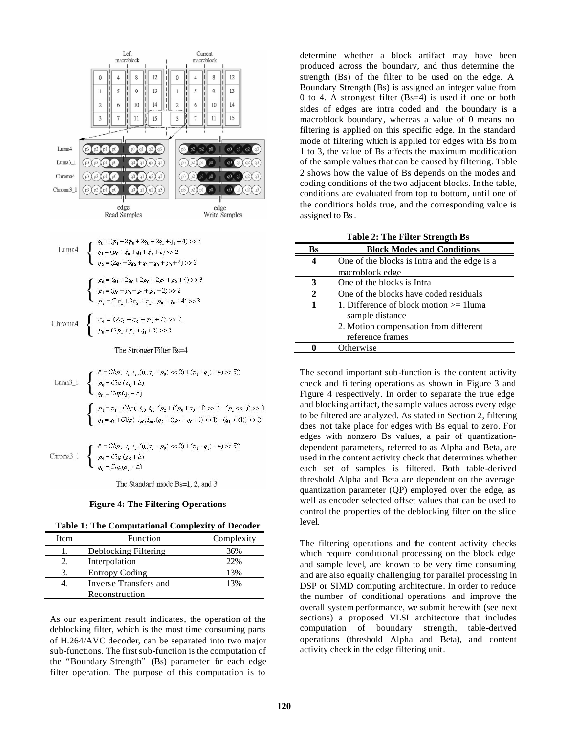

The Standard mode Bs=1, 2, and 3

#### **Figure 4: The Filtering Operations**

**Table 1: The Computational Complexity of Decoder**

| Item | Function              | Complexity |
|------|-----------------------|------------|
|      | Deblocking Filtering  | 36%        |
|      | Interpolation         | 22%        |
| 3.   | <b>Entropy Coding</b> | 13%        |
|      | Inverse Transfers and | 13%        |
|      | Reconstruction        |            |

As our experiment result indicates, the operation of the deblocking filter, which is the most time consuming parts of H.264/AVC decoder, can be separated into two major sub-functions. The first sub-function is the computation of the "Boundary Strength" (Bs) parameter for each edge filter operation. The purpose of this computation is to

determine whether a block artifact may have been produced across the boundary, and thus determine the strength (Bs) of the filter to be used on the edge. A Boundary Strength (Bs) is assigned an integer value from 0 to 4. A strongest filter (Bs=4) is used if one or both sides of edges are intra coded and the boundary is a macroblock boundary, whereas a value of 0 means no filtering is applied on this specific edge. In the standard mode of filtering which is applied for edges with Bs from 1 to 3, the value of Bs affects the maximum modification of the sample values that can be caused by filtering. Table 2 shows how the value of Bs depends on the modes and coding conditions of the two adjacent blocks. In the table, conditions are evaluated from top to bottom, until one of the conditions holds true, and the corresponding value is assigned to Bs.

| <b>Table 2: The Filter Strength Bs</b> |                                              |  |
|----------------------------------------|----------------------------------------------|--|
| Bs                                     | <b>Block Modes and Conditions</b>            |  |
| 4                                      | One of the blocks is Intra and the edge is a |  |
|                                        | macroblock edge                              |  |
| 3                                      | One of the blocks is Intra                   |  |
| $\mathbf{2}$                           | One of the blocks have coded residuals       |  |
| 1                                      | 1. Difference of block motion $\geq$ 1 luma  |  |
|                                        | sample distance                              |  |
|                                        | 2. Motion compensation from different        |  |
|                                        | reference frames                             |  |
|                                        | Otherwise                                    |  |

The second important sub-function is the content activity check and filtering operations as shown in Figure 3 and Figure 4 respectively. In order to separate the true edge and blocking artifact, the sample values across every edge to be filtered are analyzed. As stated in Section 2, filtering does not take place for edges with Bs equal to zero. For edges with nonzero Bs values, a pair of quantizationdependent parameters, referred to as Alpha and Beta, are used in the content activity check that determines whether each set of samples is filtered. Both table-derived threshold Alpha and Beta are dependent on the average quantization parameter (QP) employed over the edge, as well as encoder selected offset values that can be used to control the properties of the deblocking filter on the slice level.

The filtering operations and the content activity checks which require conditional processing on the block edge and sample level, are known to be very time consuming and are also equally challenging for parallel processing in DSP or SIMD computing architecture. In order to reduce the number of conditional operations and improve the overall system performance, we submit herewith (see next sections) a proposed VLSI architecture that includes computation of boundary strength, table-derived operations (threshold Alpha and Beta), and content activity check in the edge filtering unit.

 $\equiv$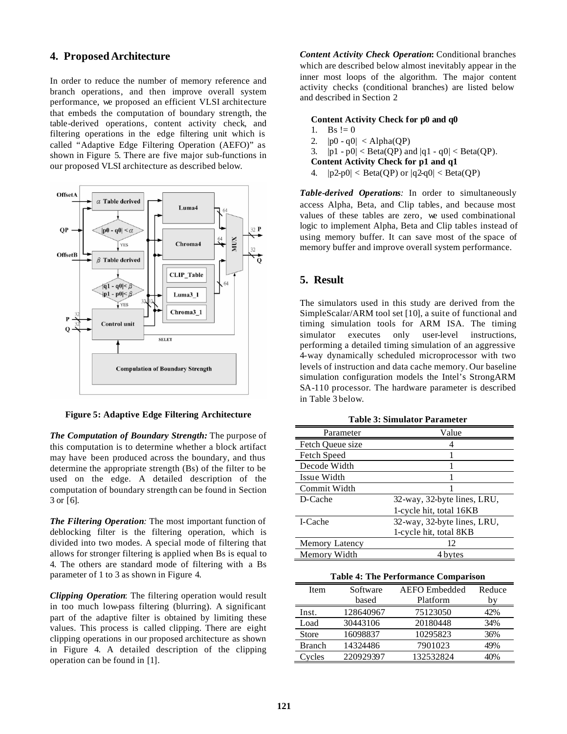### **4. ProposedArchitecture**

In order to reduce the number of memory reference and branch operations, and then improve overall system performance, we proposed an efficient VLSI architecture that embeds the computation of boundary strength, the table-derived operations, content activity check, and filtering operations in the edge filtering unit which is called "Adaptive Edge Filtering Operation (AEFO)" as shown in Figure 5. There are five major sub-functions in our proposed VLSI architecture as described below.



**Figure 5: Adaptive Edge Filtering Architecture**

*The Computation of Boundary Strength:* The purpose of this computation is to determine whether a block artifact may have been produced across the boundary, and thus determine the appropriate strength (Bs) of the filter to be used on the edge. A detailed description of the computation of boundary strength can be found in Section 3 or [6].

*The Filtering Operation:* The most important function of deblocking filter is the filtering operation, which is divided into two modes. A special mode of filtering that allows for stronger filtering is applied when Bs is equal to 4. The others are standard mode of filtering with a Bs parameter of 1 to 3 as shown in Figure 4.

*Clipping Operation*: The filtering operation would result in too much low-pass filtering (blurring). A significant part of the adaptive filter is obtained by limiting these values. This process is called clipping. There are eight clipping operations in our proposed architecture as shown in Figure 4. A detailed description of the clipping operation can be found in [1].

*Content Activity Check Operation***:** Conditional branches which are described below almost inevitably appear in the inner most loops of the algorithm. The major content activity checks (conditional branches) are listed below and described in Section 2

#### **Content Activity Check for p0 and q0**

- 1. Bs  $!= 0$
- 2.  $|p0 q0| < \text{Alpha}(QP)$
- 3.  $|p1 p0| < \text{Beta}(QP)$  and  $|q1 q0| < \text{Beta}(QP)$ .
- **Content Activity Check for p1 and q1**
- 4.  $|p2-p0| < \text{Beta}(QP)$  or  $|q2-q0| < \text{Beta}(QP)$

*Table-derived Operations:* In order to simultaneously access Alpha, Beta, and Clip tables, and because most values of these tables are zero, we used combinational logic to implement Alpha, Beta and Clip tables instead of using memory buffer. It can save most of the space of memory buffer and improve overall system performance.

### **5. Result**

The simulators used in this study are derived from the SimpleScalar/ARM tool set [10], a suite of functional and timing simulation tools for ARM ISA. The timing simulator executes only user-level instructions, performing a detailed timing simulation of an aggressive 4-way dynamically scheduled microprocessor with two levels of instruction and data cache memory. Our baseline simulation configuration models the Intel's StrongARM SA-110 processor. The hardware parameter is described in Table 3 below.

| Parameter        | Value                       |  |
|------------------|-----------------------------|--|
| Fetch Oueue size |                             |  |
| Fetch Speed      |                             |  |
| Decode Width     |                             |  |
| Issue Width      |                             |  |
| Commit Width     |                             |  |
| D-Cache          | 32-way, 32-byte lines, LRU, |  |
|                  | 1-cycle hit, total 16KB     |  |
| I-Cache          | 32-way, 32-byte lines, LRU, |  |
|                  | 1-cycle hit, total 8KB      |  |
| Memory Latency   | 12                          |  |
| Memory Width     | 4 bytes                     |  |

**Table 3: Simulator Parameter**

**Table 4: The Performance Comparison**

| Item          | Software  | <b>AEFO</b> Embedded | Reduce |
|---------------|-----------|----------------------|--------|
|               | based     | Platform             | bv     |
| Inst.         | 128640967 | 75123050             | 42%    |
| Load          | 30443106  | 20180448             | 34%    |
| <b>Store</b>  | 16098837  | 10295823             | 36%    |
| <b>Branch</b> | 14324486  | 7901023              | 49%    |
| <b>cles</b>   | 220929397 | 132532824            | 40%    |